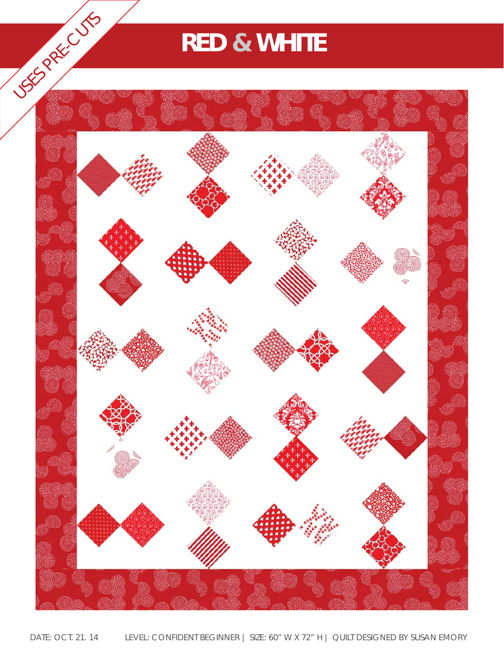## **RED & WHITE**

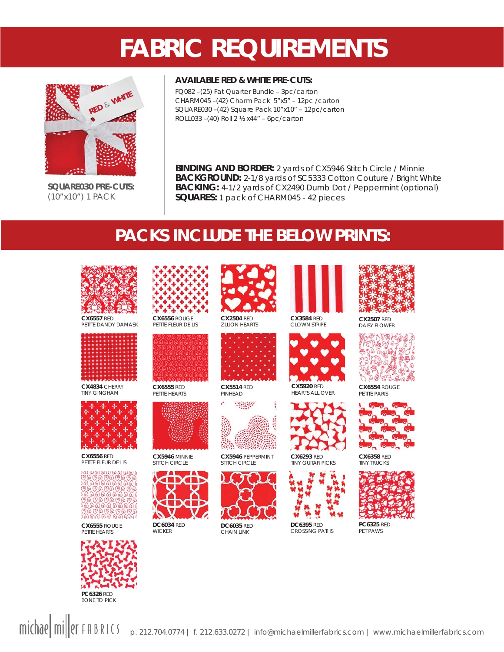## **FABRIC REQUIREMENTS**



**SQUARE030 PRE-CUTS:**  (10"x10") 1 PACK

#### **AVAILABLE RED & WHITE PRE-CUTS:**

FQ082 –(25) Fat Quarter Bundle – 3pc/carton CHARM045 –(42) Charm Pack 5"x5" – 12pc /carton SQUARE030 –(42) Square Pack 10"x10" – 12pc/carton ROLL033 –(40) Roll 2 ½ x44" – 6pc/carton

**BINDING AND BORDER:** 2 yards of CX5946 Stitch Circle / Minnie **BACKGROUND:** 2-1/8 yards of SC5333 Cotton Couture / Bright White **BACKING:** 4-1/2 yards of CX2490 Dumb Dot / Peppermint (optional) **SQUARES:** 1 pack of CHARM045 - 42 pieces

### **PACKS INCLUDE THE BELOW PRINTS:**



**CX6557** RED PETITE DANDY DAMASK



**CX4834** CHERRY TINY GINGHAM



**CX6556** RED PETITE FLEUR DE LIS

 $(0)(0)(0)(0)(0)(0)(0)(0)(0)(0)$ 

**CX6555** ROUGE PETITE HEARTS





PETITE FLEUR DE LIS



**CX6555** RED PETITE HEARTS



**CX5946** MINNIE STITCH CIRCLE



**WICKER** 

**DC6034** RED



**CX2504** RED ZILLION HEARTS



**CX5514** RED PINHEAD



**CX5946** PEPPERMINT STITCH CIRCLE



**DC6035** RED CHAIN LINK



CLOWN STRIPE



**CX5920** RED HEARTS ALL OVER



**CX6293** RED TINY GUITAR PICKS



**DC6395** RED CROSSING PATHS



DAISY FLOWER





**TINY TRUCKS** 



**PC6325** RED PET PAWS









**CX6358** RED

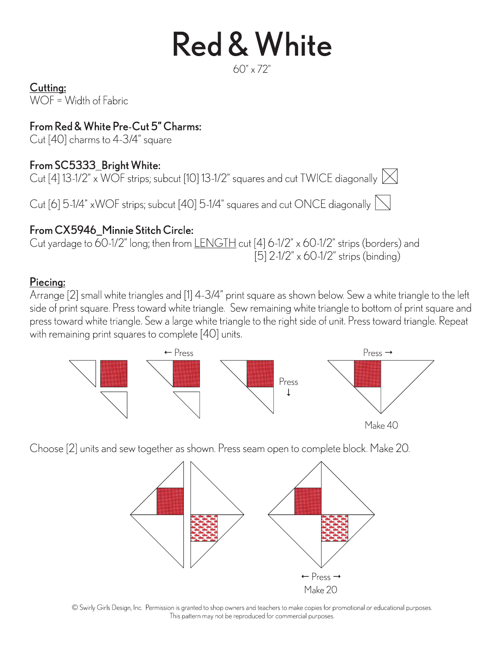# **Red & White**

```
60'' \times 72''
```
Cutting:

 $WOF = Width of Fabric$ 

### From Red & White Pre-Cut 5" Charms:

Cut [40] charms to 4-3/4" square

### From SC5333 Bright White:

Cut [4] 13-1/2" x WOF strips; subcut [10] 13-1/2" squares and cut TWICE diagonally  $\boxtimes$ 

Cut [6] 5-1/4" xWOF strips; subcut [40] 5-1/4" squares and cut ONCE diagonally  $\sum$ 

### From CX5946 Minnie Stitch Circle:

Cut yardage to 60-1/2" long; then from LENGTH cut [4] 6-1/2" x 60-1/2" strips (borders) and [5] 2-1/2" x 60-1/2" strips (binding)

### Piecina:

Arrange [2] small white triangles and [1] 4-3/4" print square as shown below. Sew a white triangle to the left side of print square. Press toward white triangle. Sew remaining white triangle to bottom of print square and press toward white triangle. Sew a large white triangle to the right side of unit. Press toward triangle. Repeat with remaining print squares to complete [40] units.



Choose [2] units and sew together as shown. Press seam open to complete block. Make 20.



© Swirly Girls Design, Inc. Permission is granted to shop owners and teachers to make copies for promotional or educational purposes. This pattern may not be reproduced for commercial purposes.